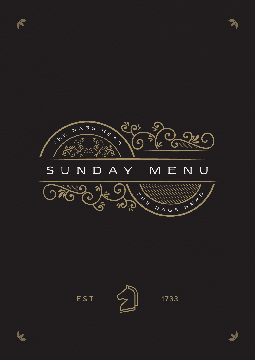